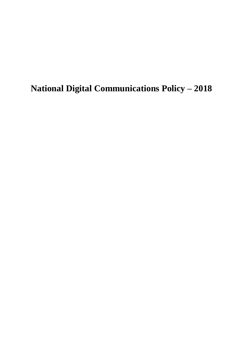**National Digital Communications Policy – 2018**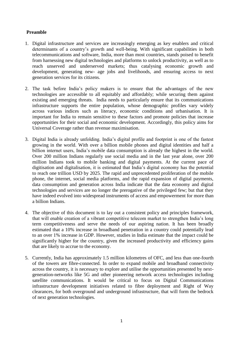# **Preamble**

- 1. Digital infrastructure and services are increasingly emerging as key enablers and critical determinants of a country's growth and well-being. With significant capabilities in both telecommunications and software, India, more than most countries, stands poised to benefit from harnessing new digital technologies and platforms to unlock productivity, as well as to reach unserved and underserved markets; thus catalysing economic growth and development, generating new- age jobs and livelihoods, and ensuring access to next generation services for its citizens.
- 2. The task before India's policy makers is to ensure that the advantages of the new technologies are accessible to all equitably and affordably; while securing them against existing and emerging threats. India needs to particularly ensure that its communications infrastructure supports the entire population, whose demographic profiles vary widely across various indices such as literacy, economic conditions and urbanisation. It is important for India to remain sensitive to these factors and promote policies that increase opportunities for their social and economic development. Accordingly, this policy aims for Universal Coverage rather than revenue maximisation.
- 3. Digital India is already unfolding. India's digital profile and footprint is one of the fastest growing in the world. With over a billion mobile phones and digital identities and half a billion internet users, India's mobile data consumption is already the highest in the world. Over 200 million Indians regularly use social media and in the last year alone, over 200 million Indians took to mobile banking and digital payments. At the current pace of digitisation and digitalisation, it is estimated that India's digital economy has the potential to reach one trillion USD by 2025. The rapid and unprecedented proliferation of the mobile phone, the internet, social media platforms, and the rapid expansion of digital payments, data consumption and generation across India indicate that the data economy and digital technologies and services are no longer the prerogative of the privileged few; but that they have indeed evolved into widespread instruments of access and empowerment for more than a billion Indians.
- 4. The objective of this document is to lay out a consistent policy and principles framework, that will enable creation of a vibrant competitive telecom market to strengthen India's long term competitiveness and serve the needs of our aspiring nation. It has been broadly estimated that a 10% increase in broadband penetration in a country could potentially lead to an over 1% increase in GDP. However, studies in India estimate that the impact could be significantly higher for the country, given the increased productivity and efficiency gains that are likely to accrue to the economy.
- 5. Currently, India has approximately 1.5 million kilometres of OFC, and less than one-fourth of the towers are fibre-connected. In order to expand mobile and broadband connectivity across the country, it is necessary to explore and utilise the opportunities presented by nextgeneration-networks like 5G and other pioneering network access technologies including satellite communications. It would be critical to focus on Digital Communications infrastructure development initiatives related to fibre deployment and Right of Way clearances, for both overground and underground infrastructure, that will form the bedrock of next generation technologies.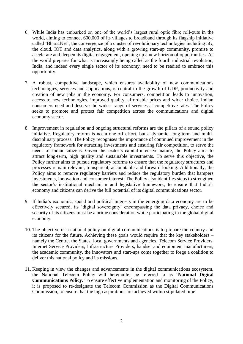- 6. While India has embarked on one of the world's largest rural optic fibre roll-outs in the world, aiming to connect 600,000 of its villages to broadband through its flagship initiative called 'BharatNet'; the convergence of a cluster of revolutionary technologies including 5G, the cloud, IOT and data analytics, along with a growing start-up community, promise to accelerate and deepen its digital engagement, opening up a new horizon of opportunities. As the world prepares for what is increasingly being called as the fourth industrial revolution, India, and indeed every single sector of its economy, need to be readied to embrace this opportunity.
- 7. A robust, competitive landscape, which ensures availability of new communications technologies, services and applications, is central to the growth of GDP, productivity and creation of new jobs in the economy. For consumers, competition leads to innovation, access to new technologies, improved quality, affordable prices and wider choice. Indian consumers need and deserve the widest range of services at competitive rates. The Policy seeks to promote and protect fair competition across the communications and digital economy sector.
- 8. Improvement in regulation and ongoing structural reforms are the pillars of a sound policy initiative. Regulatory reform is not a one-off effort, but a dynamic, long-term and multidisciplinary process. The Policy recognises the importance of continued improvement in the regulatory framework for attracting investments and ensuring fair competition, to serve the needs of Indian citizens. Given the sector's capital-intensive nature, the Policy aims to attract long-term, high quality and sustainable investments. To serve this objective, the Policy further aims to pursue regulatory reforms to ensure that the regulatory structures and processes remain relevant, transparent, accountable and forward-looking. Additionally, the Policy aims to remove regulatory barriers and reduce the regulatory burden that hampers investments, innovation and consumer interest. The Policy also identifies steps to strengthen the sector's institutional mechanism and legislative framework, to ensure that India's economy and citizens can derive the full potential of its digital communications sector.
- 9. If India's economic, social and political interests in the emerging data economy are to be effectively secured, its 'digital sovereignty' encompassing the data privacy, choice and security of its citizens must be a prime consideration while participating in the global digital economy.
- 10. The objective of a national policy on digital communications is to prepare the country and its citizens for the future. Achieving these goals would require that the key stakeholders – namely the Centre, the States, local governments and agencies, Telecom Service Providers, Internet Service Providers, Infrastructure Providers, handset and equipment manufacturers, the academic community, the innovators and start-ups come together to forge a coalition to deliver this national policy and its missions.
- 11. Keeping in view the changes and advancements in the digital communications ecosystem, the National Telecom Policy will hereinafter be referred to as '**National Digital Communications Policy**. To ensure effective implementation and monitoring of the Policy, it is proposed to re-designate the Telecom Commission as the Digital Communications Commission, to ensure that the high aspirations are achieved within stipulated time.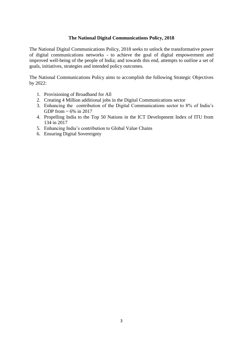### **The National Digital Communications Policy, 2018**

The National Digital Communications Policy, 2018 seeks to unlock the transformative power of digital communications networks - to achieve the goal of digital empowerment and improved well-being of the people of India; and towards this end, attempts to outline a set of goals, initiatives, strategies and intended policy outcomes.

The National Communications Policy aims to accomplish the following Strategic Objectives by 2022:

- 1. Provisioning of Broadband for All
- 2. Creating 4 Million additional jobs in the Digital Communications sector
- 3. Enhancing the contribution of the Digital Communications sector to 8% of India's GDP from  $\sim 6\%$  in 2017
- 4. Propelling India to the Top 50 Nations in the ICT Development Index of ITU from 134 in 2017
- 5. Enhancing India's contribution to Global Value Chains
- 6. Ensuring Digital Sovereignty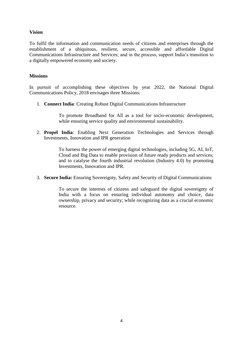# **Vision**

To fulfil the information and communication needs of citizens and enterprises through the establishment of a ubiquitous, resilient, secure, accessible and affordable Digital Communications Infrastructure and Services; and in the process, support India's transition to a digitally empowered economy and society.

### **Missions**

In pursuit of accomplishing these objectives by year 2022, the National Digital Communications Policy, 2018 envisages three Missions:

1. **Connect India**: Creating Robust Digital Communications Infrastructure

To promote Broadband for All as a tool for socio-economic development, while ensuring service quality and environmental sustainability.

2. **Propel India**: Enabling Next Generation Technologies and Services through Investments, Innovation and IPR generation

> To harness the power of emerging digital technologies, including 5G, AI, IoT, Cloud and Big Data to enable provision of future ready products and services; and to catalyse the fourth industrial revolution (Industry 4.0) by promoting Investments, Innovation and IPR.

3. **Secure India:** Ensuring Sovereignty, Safety and Security of Digital Communications

To secure the interests of citizens and safeguard the digital sovereignty of India with a focus on ensuring individual autonomy and choice, data ownership, privacy and security; while recognizing data as a crucial economic resource.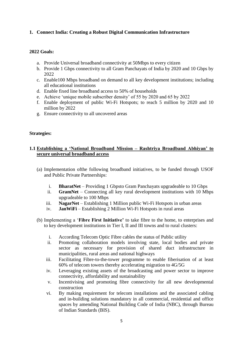# **1. Connect India: Creating a Robust Digital Communication Infrastructure**

## **2022 Goals:**

- a. Provide Universal broadband connectivity at 50Mbps to every citizen
- b. Provide 1 Gbps connectivity to all Gram Panchayats of India by 2020 and 10 Gbps by 2022
- c. Enable100 Mbps broadband on demand to all key development institutions; including all educational institutions
- d. Enable fixed line broadband access to 50% of households
- e. Achieve 'unique mobile subscriber density' of 55 by 2020 and 65 by 2022
- f. Enable deployment of public Wi-Fi Hotspots; to reach 5 million by 2020 and 10 million by 2022
- g. Ensure connectivity to all uncovered areas

### **Strategies:**

# **1.1 Establishing a 'National Broadband Mission – Rashtriya Broadband Abhiyan' to secure universal broadband access**

- (a) Implementation ofthe following broadband initiatives, to be funded through USOF and Public Private Partnerships:
	- i. **BharatNet** Providing 1 Gbpsto Gram Panchayats upgradeable to 10 Gbps
	- ii. **GramNet** Connecting all key rural development institutions with 10 Mbps upgradeable to 100 Mbps
	- iii. **NagarNet** Establishing 1 Million public Wi-Fi Hotspots in urban areas
	- iv. **JanWiFi** Establishing 2 Million Wi-Fi Hotspots in rural areas
- (b) Implementing a '**Fibre First Initiative'** to take fibre to the home, to enterprises and to key development institutions in Tier I, II and III towns and to rural clusters:
	- i. According Telecom Optic Fibre cables the status of Public utility
	- ii. Promoting collaboration models involving state, local bodies and private sector as necessary for provision of shared duct infrastructure in municipalities, rural areas and national highways
	- iii. Facilitating Fibre-to-the-tower programme to enable fiberisation of at least 60% of telecom towers thereby accelerating migration to 4G/5G
	- iv. Leveraging existing assets of the broadcasting and power sector to improve connectivity, affordability and sustainability
	- v. Incentivising and promoting fibre connectivity for all new developmental construction
	- vi. By making requirement for telecom installations and the associated cabling and in-building solutions mandatory in all commercial, residential and office spaces by amending National Building Code of India (NBC), through Bureau of Indian Standards (BIS).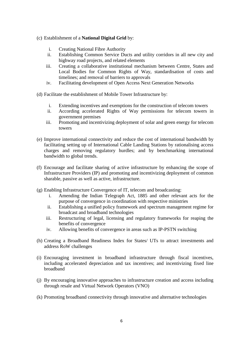### (c) Establishment of a **National Digital Grid** by:

- i. Creating National Fibre Authority
- ii. Establishing Common Service Ducts and utility corridors in all new city and highway road projects, and related elements
- iii. Creating a collaborative institutional mechanism between Centre, States and Local Bodies for Common Rights of Way, standardisation of costs and timelines; and removal of barriers to approvals
- iv. Facilitating development of Open Access Next Generation Networks
- (d) Facilitate the establishment of Mobile Tower Infrastructure by:
	- i. Extending incentives and exemptions for the construction of telecom towers
	- ii. According accelerated Rights of Way permissions for telecom towers in government premises
	- iii. Promoting and incentivizing deployment of solar and green energy for telecom towers
- (e) Improve international connectivity and reduce the cost of international bandwidth by facilitating setting up of International Cable Landing Stations by rationalising access charges and removing regulatory hurdles; and by benchmarking international bandwidth to global trends.
- (f) Encourage and facilitate sharing of active infrastructure by enhancing the scope of Infrastructure Providers (IP) and promoting and incentivizing deployment of common sharable, passive as well as active, infrastructure.
- (g) Enabling Infrastructure Convergence of IT, telecom and broadcasting:
	- i. Amending the Indian Telegraph Act, 1885 and other relevant acts for the purpose of convergence in coordination with respective ministries
	- ii. Establishing a unified policy framework and spectrum management regime for broadcast and broadband technologies
	- iii. Restructuring of legal, licensing and regulatory frameworks for reaping the benefits of convergence
	- iv. Allowing benefits of convergence in areas such as IP-PSTN switching
- (h) Creating a Broadband Readiness Index for States/ UTs to attract investments and address RoW challenges
- (i) Encouraging investment in broadband infrastructure through fiscal incentives, including accelerated depreciation and tax incentives; and incentivizing fixed line broadband
- (j) By encouraging innovative approaches to infrastructure creation and access including through resale and Virtual Network Operators (VNO)
- (k) Promoting broadband connectivity through innovative and alternative technologies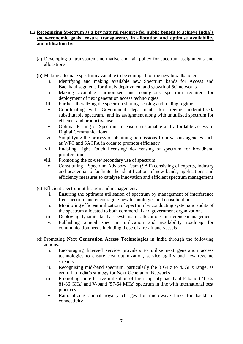## **1.2 Recognizing Spectrum as a key natural resource for public benefit to achieve India's socio-economic goals, ensure transparency in allocation and optimise availability and utilisation by:**

- (a) Developing a transparent, normative and fair policy for spectrum assignments and allocations
- (b) Making adequate spectrum available to be equipped for the new broadband era:
	- i. Identifying and making available new Spectrum bands for Access and Backhaul segments for timely deployment and growth of 5G networks.
	- ii. Making available harmonized and contiguous spectrum required for deployment of next generation access technologies
	- iii. Further liberalizing the spectrum sharing, leasing and trading regime
	- iv. Coordinating with Government departments for freeing underutilised/ substitutable spectrum, and its assignment along with unutilised spectrum for efficient and productive use
	- v. Optimal Pricing of Spectrum to ensure sustainable and affordable access to Digital Communications
	- vi. Simplifying the process of obtaining permissions from various agencies such as WPC and SACFA in order to promote efficiency
	- vii. Enabling Light Touch licensing/ de-licensing of spectrum for broadband proliferation
	- viii. Promoting the co-use/ secondary use of spectrum
	- ix. Constituting a Spectrum Advisory Team (SAT) consisting of experts, industry and academia to facilitate the identification of new bands, applications and efficiency measures to catalyse innovation and efficient spectrum management
- (c) Efficient spectrum utilisation and management:
	- i. Ensuring the optimum utilisation of spectrum by management of interference free spectrum and encouraging new technologies and consolidation
	- ii. Monitoring efficient utilization of spectrum by conducting systematic audits of the spectrum allocated to both commercial and government organizations
	- iii. Deploying dynamic database systems for allocation/ interference management
	- iv. Publishing annual spectrum utilization and availability roadmap for communication needs including those of aircraft and vessels
- (d) Promoting **Next Generation Access Technologies** in India through the following actions:
	- i. Encouraging licensed service providers to utilise next generation access technologies to ensure cost optimization, service agility and new revenue streams
	- ii. Recognising mid-band spectrum, particularly the 3 GHz to 43GHz range, as central to India's strategy for Next-Generation Networks
	- iii. Promoting the effective utilisation of high capacity backhaul E-band (71-76/ 81-86 GHz) and V-band (57-64 MHz) spectrum in line with international best practices
	- iv. Rationalizing annual royalty charges for microwave links for backhaul connectivity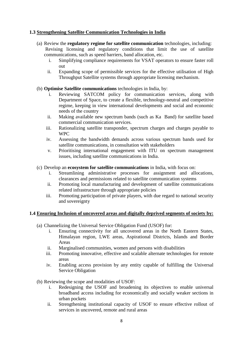# **1.3 Strengthening Satellite Communication Technologies in India**

- (a) Review the **regulatory regime for satellite communication** technologies, including: Revising licensing and regulatory conditions that limit the use of satellite communications, such as speed barriers, band allocation, etc.
	- i. Simplifying compliance requirements for VSAT operators to ensure faster roll out
	- ii. Expanding scope of permissible services for the effective utilisation of High Throughput Satellite systems through appropriate licensing mechanism.

# (b) **Optimise Satellite communications** technologies in India, by:

- i. Reviewing SATCOM policy for communication services, along with Department of Space, to create a flexible, technology-neutral and competitive regime, keeping in view international developments and social and economic needs of the country
- ii. Making available new spectrum bands (such as Ka Band) for satellite based commercial communication services.
- iii. Rationalizing satellite transponder, spectrum charges and charges payable to WPC
- iv. Assessing the bandwidth demands across various spectrum bands used for satellite communications, in consultation with stakeholders
- v. Prioritising international engagement with ITU on spectrum management issues, including satellite communications in India.
- (c) Develop an **ecosystem for satellite communications** in India, with focus on:
	- i. Streamlining administrative processes for assignment and allocations, clearances and permissions related to satellite communication systems
	- ii. Promoting local manufacturing and development of satellite communications related infrastructure through appropriate policies
	- iii. Promoting participation of private players, with due regard to national security and sovereignty

# **1.4 Ensuring Inclusion of uncovered areas and digitally deprived segments of society by:**

- (a) Channelizing the Universal Service Obligation Fund (USOF) for:
	- i. Ensuring connectivity for all uncovered areas in the North Eastern States, Himalayan region, LWE areas, Aspirational Districts, Islands and Border Areas
	- ii. Marginalised communities, women and persons with disabilities
	- iii. Promoting innovative, effective and scalable alternate technologies for remote areas
	- iv. Enabling access provision by any entity capable of fulfilling the Universal Service Obligation
- (b) Reviewing the scope and modalities of USOF:
	- i. Redesigning the USOF and broadening its objectives to enable universal broadband access including for economically and socially weaker sections in urban pockets
	- ii. Strengthening institutional capacity of USOF to ensure effective rollout of services in uncovered, remote and rural areas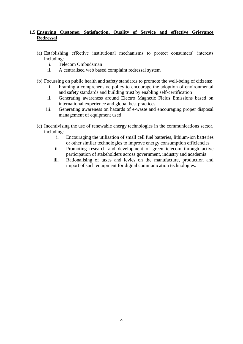# **1.5 Ensuring Customer Satisfaction, Quality of Service and effective Grievance Redressal**

- (a) Establishing effective institutional mechanisms to protect consumers' interests including:
	- i. Telecom Ombudsman
	- ii. A centralised web based complaint redressal system
- (b) Focussing on public health and safety standards to promote the well-being of citizens:
	- i. Framing a comprehensive policy to encourage the adoption of environmental and safety standards and building trust by enabling self-certification
	- ii. Generating awareness around Electro Magnetic Fields Emissions based on international experience and global best practices
	- iii. Generating awareness on hazards of e-waste and encouraging proper disposal management of equipment used
- (c) Incentivising the use of renewable energy technologies in the communications sector, including:
	- i. Encouraging the utilisation of small cell fuel batteries, lithium-ion batteries or other similar technologies to improve energy consumption efficiencies
	- ii. Promoting research and development of green telecom through active participation of stakeholders across government, industry and academia
	- iii. Rationalising of taxes and levies on the manufacture, production and import of such equipment for digital communication technologies.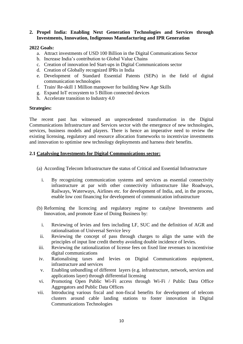## **2. Propel India: Enabling Next Generation Technologies and Services through Investments, Innovation, Indigenous Manufacturing and IPR Generation**

### **2022 Goals:**

- a. Attract investments of USD 100 Billion in the Digital Communications Sector
- b. Increase India's contribution to Global Value Chains
- c. Creation of innovation led Start-ups in Digital Communications sector
- d. Creation of Globally recognized IPRs in India
- e. Development of Standard Essential Patents (SEPs) in the field of digital communication technologies
- f. Train/ Re-skill 1 Million manpower for building New Age Skills
- g. Expand IoT ecosystem to 5 Billion connected devices
- h. Accelerate transition to Industry 4.0

#### **Strategies:**

The recent past has witnessed an unprecedented transformation in the Digital Communications Infrastructure and Services sector with the emergence of new technologies, services, business models and players. There is hence an imperative need to review the existing licensing, regulatory and resource allocation frameworks to incentivize investments and innovation to optimise new technology deployments and harness their benefits.

### **2.1 Catalysing Investments for Digital Communications sector:**

- (a) According Telecom Infrastructure the status of Critical and Essential Infrastructure
	- i. By recognizing communication systems and services as essential connectivity infrastructure at par with other connectivity infrastructure like Roadways, Railways, Waterways, Airlines etc. for development of India, and, in the process, enable low cost financing for development of communication infrastructure
- (b) Reforming the licencing and regulatory regime to catalyse Investments and Innovation, and promote Ease of Doing Business by:
	- i. Reviewing of levies and fees including LF, SUC and the definition of AGR and rationalisation of Universal Service levy
	- ii. Reviewing the concept of pass through charges to align the same with the principles of input line credit thereby avoiding double incidence of levies.
- iii. Reviewing the rationalization of license fees on fixed line revenues to incentivise digital communications
- iv. Rationalising taxes and levies on Digital Communications equipment, infrastructure and services
- v. Enabling unbundling of different layers (e.g. infrastructure, network, services and applications layer) through differential licensing
- vi. Promoting Open Public Wi-Fi access through Wi-Fi / Public Data Office Aggregators and Public Data Offices
- vii. Introducing various fiscal and non-fiscal benefits for development of telecom clusters around cable landing stations to foster innovation in Digital Communications Technologies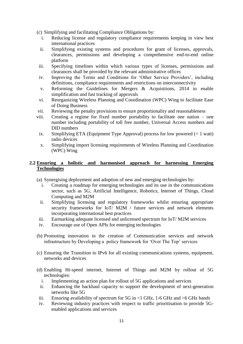- (c) Simplifying and facilitating Compliance Obligations by:
	- i. Reducing license and regulatory compliance requirements keeping in view best international practices
	- ii. Simplifying existing systems and procedures for grant of licenses, approvals, clearances, permissions and developing a comprehensive end-to-end online platform
- iii. Specifying timelines within which various types of licenses, permissions and clearances shall be provided by the relevant administrative offices
- iv. Improving the Terms and Conditions for 'Other Service Providers', including definitions, compliance requirements and restrictions on interconnectivity
- v. Reforming the Guidelines for Mergers & Acquisitions, 2014 to enable simplification and fast tracking of approvals
- vi. Reorganizing Wireless Planning and Coordination (WPC) Wing to facilitate Ease of Doing Business
- vii. Reviewing the penalty provisions to ensure proportionality and reasonableness
- viii. Creating a regime for fixed number portability to facilitate one nation one number including portability of toll free number, Universal Access numbers and DID numbers
- ix. Simplifying ETA (Equipment Type Approval) process for low powered  $(< 1$  watt) radio devices
- x. Simplifying import licensing requirements of Wireless Planning and Coordination (WPC) Wing

## **2.2 Ensuring a holistic and harmonised approach for harnessing Emerging Technologies**

- (a) Synergising deployment and adoption of new and emerging technologies by:
	- i. Creating a roadmap for emerging technologies and its use in the communications sector, such as 5G, Artificial Intelligence, Robotics, Internet of Things, Cloud Computing and M2M
	- ii. Simplifying licensing and regulatory frameworks whilst ensuring appropriate security frameworks for IoT/M2M / future services and network elements incorporating international best practices
- iii. Earmarking adequate licensed and unlicensed spectrum for IoT/ M2M services
- iv. Encourage use of Open APIs for emerging technologies
- (b) Promoting innovation in the creation of Communication services and network infrastructure by Developing a policy framework for 'Over The Top' services
- (c) Ensuring the Transition to IPv6 for all existing communications systems, equipment, networks and devices
- (d) Enabling Hi-speed internet, Internet of Things and M2M by rollout of 5G technologies:
	- i. Implementing an action plan for rollout of 5G applications and services
	- ii. Enhancing the backhaul capacity to support the development of next-generation networks like 5G
- iii. Ensuring availability of spectrum for 5G in  $\langle$  1 GHz, 1-6 GHz and  $\langle$  6 GHz bands
- iv. Reviewing industry practices with respect to traffic prioritisation to provide 5Genabled applications and services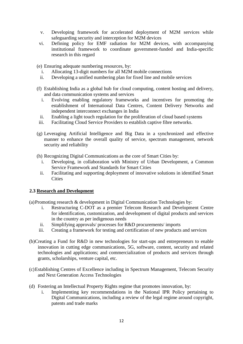- v. Developing framework for accelerated deployment of M2M services while safeguarding security and interception for M2M devices
- vi. Defining policy for EMF radiation for M2M devices, with accompanying institutional framework to coordinate government-funded and India-specific research in this regard

(e) Ensuring adequate numbering resources, by:

- i. Allocating 13-digit numbers for all M2M mobile connections
- ii. Developing a unified numbering plan for fixed line and mobile services
- (f) Establishing India as a global hub for cloud computing, content hosting and delivery, and data communication systems and services
	- i. Evolving enabling regulatory frameworks and incentives for promoting the establishment of International Data Centres, Content Delivery Networks and independent interconnect exchanges in India
	- ii. Enabling a light touch regulation for the proliferation of cloud based systems
- iii. Facilitating Cloud Service Providers to establish captive fibre networks.
- (g) Leveraging Artificial Intelligence and Big Data in a synchronized and effective manner to enhance the overall quality of service, spectrum management, network security and reliability
- (h) Recognizing Digital Communications as the core of Smart Cities by:
	- i. Developing, in collaboration with Ministry of Urban Development, a Common Service Framework and Standards for Smart Cities
	- ii. Facilitating and supporting deployment of innovative solutions in identified Smart **Cities**

#### **2.3 Research and Development**

(a)Promoting research & development in Digital Communication Technologies by:

- i. Restructuring C-DOT as a premier Telecom Research and Development Centre for identification, customization, and development of digital products and services in the country as per indigenous needs
- ii. Simplifying approvals/ processes for R&D procurements/ imports
- iii. Creating a framework for testing and certification of new products and services
- (b)Creating a Fund for R&D in new technologies for start-ups and entrepreneurs to enable innovation in cutting edge communications, 5G, software, content, security and related technologies and applications; and commercialization of products and services through grants, scholarships, venture capital, etc.
- (c)Establishing Centres of Excellence including in Spectrum Management, Telecom Security and Next Generation Access Technologies
- (d) Fostering an Intellectual Property Rights regime that promotes innovation, by:
	- i. Implementing key recommendations in the National IPR Policy pertaining to Digital Communications, including a review of the legal regime around copyright, patents and trade marks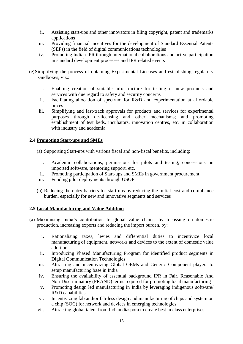- ii. Assisting start-ups and other innovators in filing copyright, patent and trademarks applications
- iii. Providing financial incentives for the development of Standard Essential Patents (SEPs) in the field of digital communications technologies
- iv. Promoting Indian IPR through international collaborations and active participation in standard development processes and IPR related events
- (e)Simplifying the process of obtaining Experimental Licenses and establishing regulatory sandboxes; viz.:
	- i. Enabling creation of suitable infrastructure for testing of new products and services with due regard to safety and security concerns
	- ii. Facilitating allocation of spectrum for R&D and experimentation at affordable prices
	- iii. Simplifying and fast-track approvals for products and services for experimental purposes through de-licensing and other mechanisms; and promoting establishment of test beds, incubators, innovation centres, etc. in collaboration with industry and academia

# **2.4 Promoting Start-ups and SMEs**

- (a) Supporting Start-ups with various fiscal and non-fiscal benefits, including:
	- i. Academic collaborations, permissions for pilots and testing, concessions on imported software, mentoring support, etc.
	- ii. Promoting participation of Start-ups and SMEs in government procurement
- iii. Funding pilot deployments through USOF
- (b) Reducing the entry barriers for start-ups by reducing the initial cost and compliance burden, especially for new and innovative segments and services

#### **2.5 Local Manufacturing and Value Addition**

- (a) Maximising India's contribution to global value chains, by focussing on domestic production, increasing exports and reducing the import burden, by:
	- i. Rationalising taxes, levies and differential duties to incentivize local manufacturing of equipment, networks and devices to the extent of domestic value addition
	- ii. Introducing Phased Manufacturing Program for identified product segments in Digital Communication Technologies
	- iii. Attracting and incentivizing Global OEMs and Generic Component players to setup manufacturing base in India
	- iv. Ensuring the availability of essential background IPR in Fair, Reasonable And Non-Discriminatory (FRAND) terms required for promoting local manufacturing
	- v. Promoting design led manufacturing in India by leveraging indigenous software/ R&D capabilities
	- vi. Incentivizing fab and/or fab-less design and manufacturing of chips and system on a chip (SOC) for network and devices in emerging technologies
	- vii. Attracting global talent from Indian diaspora to create best in class enterprises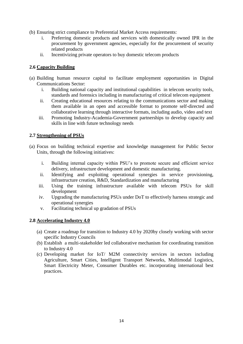- (b) Ensuring strict compliance to Preferential Market Access requirements:
	- i. Preferring domestic products and services with domestically owned IPR in the procurement by government agencies, especially for the procurement of security related products
	- ii. Incentivizing private operators to buy domestic telecom products

# **2.6 Capacity Building**

- (a) Building human resource capital to facilitate employment opportunities in Digital Communications Sector:
	- i. Building national capacity and institutional capabilities in telecom security tools, standards and forensics including in manufacturing of critical telecom equipment
	- ii. Creating educational resources relating to the communications sector and making them available in an open and accessible format to promote self-directed and collaborative learning through interactive formats, including audio, video and text
	- iii. Promoting Industry-Academia-Government partnerships to develop capacity and skills in line with future technology needs

### **2.7 Strengthening of PSUs**

- (a) Focus on building technical expertise and knowledge management for Public Sector Units, through the following initiatives:
	- i. Building internal capacity within PSU's to promote secure and efficient service delivery, infrastructure development and domestic manufacturing.
	- ii. Identifying and exploiting operational synergies in service provisioning, infrastructure creation, R&D, Standardization and manufacturing
	- iii. Using the training infrastructure available with telecom PSUs for skill development
	- iv. Upgrading the manufacturing PSUs under DoT to effectively harness strategic and operational synergies
	- v. Facilitating technical up gradation of PSUs

#### **2.8 Accelerating Industry 4.0**

- (a) Create a roadmap for transition to Industry 4.0 by 2020by closely working with sector specific Industry Councils
- (b) Establish a multi-stakeholder led collaborative mechanism for coordinating transition to Industry 4.0
- (c) Developing market for IoT/ M2M connectivity services in sectors including Agriculture, Smart Cities, Intelligent Transport Networks, Multimodal Logistics, Smart Electricity Meter, Consumer Durables etc. incorporating international best practices.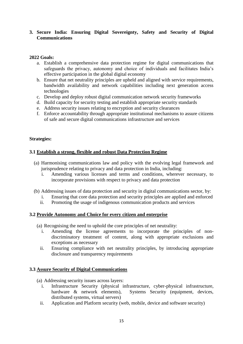## **3. Secure India: Ensuring Digital Sovereignty, Safety and Security of Digital Communications**

## **2022 Goals:**

- a. Establish a comprehensive data protection regime for digital communications that safeguards the privacy, autonomy and choice of individuals and facilitates India's effective participation in the global digital economy
- b. Ensure that net neutrality principles are upheld and aligned with service requirements, bandwidth availability and network capabilities including next generation access technologies
- c. Develop and deploy robust digital communication network security frameworks
- d. Build capacity for security testing and establish appropriate security standards
- e. Address security issues relating to encryption and security clearances
- f. Enforce accountability through appropriate institutional mechanisms to assure citizens of safe and secure digital communications infrastructure and services

### **Strategies:**

### **3.1 Establish a strong, flexible and robust Data Protection Regime**

- (a) Harmonising communications law and policy with the evolving legal framework and jurisprudence relating to privacy and data protection in India, including:
	- i. Amending various licenses and terms and conditions, wherever necessary, to incorporate provisions with respect to privacy and data protection
- (b) Addressing issues of data protection and security in digital communications sector, by:
	- i. Ensuring that core data protection and security principles are applied and enforced
	- ii. Promoting the usage of indigenous communication products and services

#### **3.2 Provide Autonomy and Choice for every citizen and enterprise**

- (a) Recognising the need to uphold the core principles of net neutrality:
	- i. Amending the license agreements to incorporate the principles of nondiscriminatory treatment of content, along with appropriate exclusions and exceptions as necessary
	- ii. Ensuring compliance with net neutrality principles, by introducing appropriate disclosure and transparency requirements

#### **3.3 Assure Security of Digital Communications**

- (a) Addressing security issues across layers:
	- i. Infrastructure Security (physical infrastructure, cyber-physical infrastructure, hardware & network elements), Systems Security (equipment, devices, distributed systems, virtual servers)
	- ii. Application and Platform security (web, mobile, device and software security)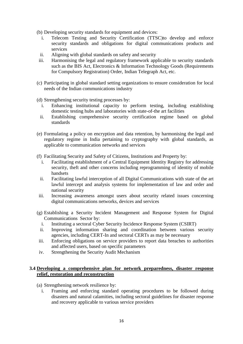- (b) Developing security standards for equipment and devices:
	- i. Telecom Testing and Security Certification (TTSC)to develop and enforce security standards and obligations for digital communications products and services
	- ii. Aligning with global standards on safety and security
- iii. Harmonising the legal and regulatory framework applicable to security standards such as the BIS Act, Electronics & Information Technology Goods (Requirements for Compulsory Registration) Order, Indian Telegraph Act, etc.
- (c) Participating in global standard setting organizations to ensure consideration for local needs of the Indian communications industry

(d) Strengthening security testing processes by:

- i. Enhancing institutional capacity to perform testing, including establishing domestic testing hubs and laboratories with state-of-the art facilities
- ii. Establishing comprehensive security certification regime based on global standards
- (e) Formulating a policy on encryption and data retention, by harmonising the legal and regulatory regime in India pertaining to cryptography with global standards, as applicable to communication networks and services
- (f) Facilitating Security and Safety of Citizens, Institutions and Property by:
	- i. Facilitating establishment of a Central Equipment Identity Registry for addressing security, theft and other concerns including reprogramming of identity of mobile handsets
	- ii. Facilitating lawful interception of all Digital Communications with state of the art lawful intercept and analysis systems for implementation of law and order and national security
- iii. Increasing awareness amongst users about security related issues concerning digital communications networks, devices and services
- (g) Establishing a Security Incident Management and Response System for Digital Communications Sector by:
	- i. Instituting a sectoral Cyber Security Incidence Response System (CSIRT)
	- ii. Improving information sharing and coordination between various security agencies, including CERT-In and sectoral CERTs as may be necessary
- iii. Enforcing obligations on service providers to report data breaches to authorities and affected users, based on specific parameters
- iv. Strengthening the Security Audit Mechanism

### **3.4 Developing a comprehensive plan for network preparedness, disaster response relief, restoration and reconstruction**

- (a) Strengthening network resilience by:
	- i. Framing and enforcing standard operating procedures to be followed during disasters and natural calamities, including sectoral guidelines for disaster response and recovery applicable to various service providers